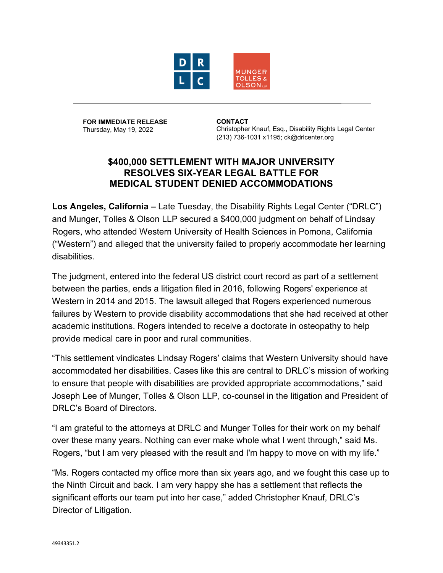

**FOR IMMEDIATE RELEASE** Thursday, May 19, 2022

**CONTACT** Christopher Knauf, Esq., Disability Rights Legal Center (213) 736-1031 x1195; ck@drlcenter.org

## **\$400,000 SETTLEMENT WITH MAJOR UNIVERSITY RESOLVES SIX-YEAR LEGAL BATTLE FOR MEDICAL STUDENT DENIED ACCOMMODATIONS**

**Los Angeles, California –** Late Tuesday, the Disability Rights Legal Center ("DRLC") and Munger, Tolles & Olson LLP secured a \$400,000 judgment on behalf of Lindsay Rogers, who attended Western University of Health Sciences in Pomona, California ("Western") and alleged that the university failed to properly accommodate her learning disabilities.

The judgment, entered into the federal US district court record as part of a settlement between the parties, ends a litigation filed in 2016, following Rogers' experience at Western in 2014 and 2015. The lawsuit alleged that Rogers experienced numerous failures by Western to provide disability accommodations that she had received at other academic institutions. Rogers intended to receive a doctorate in osteopathy to help provide medical care in poor and rural communities.

"This settlement vindicates Lindsay Rogers' claims that Western University should have accommodated her disabilities. Cases like this are central to DRLC's mission of working to ensure that people with disabilities are provided appropriate accommodations," said Joseph Lee of Munger, Tolles & Olson LLP, co-counsel in the litigation and President of DRLC's Board of Directors.

"I am grateful to the attorneys at DRLC and Munger Tolles for their work on my behalf over these many years. Nothing can ever make whole what I went through," said Ms. Rogers, "but I am very pleased with the result and I'm happy to move on with my life."

"Ms. Rogers contacted my office more than six years ago, and we fought this case up to the Ninth Circuit and back. I am very happy she has a settlement that reflects the significant efforts our team put into her case," added Christopher Knauf, DRLC's Director of Litigation.